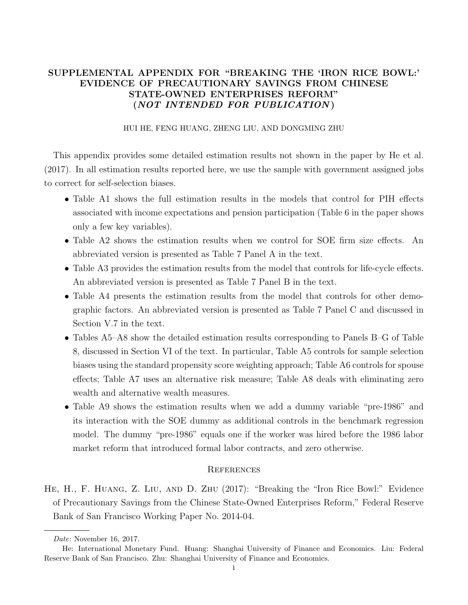## SUPPLEMENTAL APPENDIX FOR "BREAKING THE 'IRON RICE BOWL:' EVIDENCE OF PRECAUTIONARY SAVINGS FROM CHINESE STATE-OWNED ENTERPRISES REFORM" (NOT INTENDED FOR PUBLICATION )

## HUI HE, FENG HUANG, ZHENG LIU, AND DONGMING ZHU

This appendix provides some detailed estimation results not shown in the paper by He et al. (2017). In all estimation results reported here, we use the sample with government assigned jobs to correct for self-selection biases.

- Table A1 shows the full estimation results in the models that control for PIH effects associated with income expectations and pension participation (Table 6 in the paper shows only a few key variables).
- Table A2 shows the estimation results when we control for SOE firm size effects. An abbreviated version is presented as Table 7 Panel A in the text.
- Table A3 provides the estimation results from the model that controls for life-cycle effects. An abbreviated version is presented as Table 7 Panel B in the text.
- Table A4 presents the estimation results from the model that controls for other demographic factors. An abbreviated version is presented as Table 7 Panel C and discussed in Section V.7 in the text.
- Tables A5–A8 show the detailed estimation results corresponding to Panels B–G of Table 8, discussed in Section VI of the text. In particular, Table A5 controls for sample selection biases using the standard propensity score weighting approach; Table A6 controls for spouse effects; Table A7 uses an alternative risk measure; Table A8 deals with eliminating zero wealth and alternative wealth measures.
- Table A9 shows the estimation results when we add a dummy variable "pre-1986" and its interaction with the SOE dummy as additional controls in the benchmark regression model. The dummy "pre-1986" equals one if the worker was hired before the 1986 labor market reform that introduced formal labor contracts, and zero otherwise.

## **REFERENCES**

He, H., F. Huang, Z. Liu, and D. Zhu (2017): "Breaking the "Iron Rice Bowl:" Evidence of Precautionary Savings from the Chinese State-Owned Enterprises Reform," Federal Reserve Bank of San Francisco Working Paper No. 2014-04.

Date: November 16, 2017.

He: International Monetary Fund. Huang: Shanghai University of Finance and Economics. Liu: Federal Reserve Bank of San Francisco. Zhu: Shanghai University of Finance and Economics.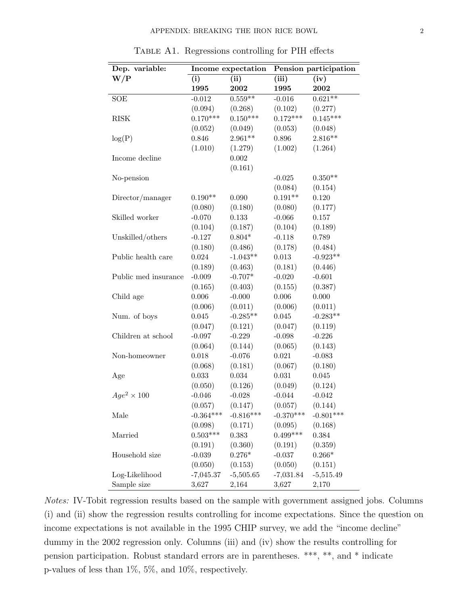| Dep. variable:       |             | Income expectation | Pension participation |             |  |  |
|----------------------|-------------|--------------------|-----------------------|-------------|--|--|
| W/P                  | (i)         | (ii)               | (iii)                 | (iv)        |  |  |
|                      | 1995        | 2002               | 1995                  | 2002        |  |  |
| <b>SOE</b>           | $-0.012$    | $0.559**$          | $-0.016$              | $0.621**$   |  |  |
|                      | (0.094)     | (0.268)            | (0.102)               | (0.277)     |  |  |
| <b>RISK</b>          | $0.170***$  | $0.150***$         | $0.172***$            | $0.145***$  |  |  |
|                      | (0.052)     | (0.049)            | (0.053)               | (0.048)     |  |  |
| log(P)               | 0.846       | $2.961**$          | 0.896                 | $2.816**$   |  |  |
|                      | (1.010)     | (1.279)            | (1.002)               | (1.264)     |  |  |
| Income decline       |             | 0.002              |                       |             |  |  |
|                      |             | (0.161)            |                       |             |  |  |
| No-pension           |             |                    | $-0.025$              | $0.350**$   |  |  |
|                      |             |                    | (0.084)               | (0.154)     |  |  |
| Director/manager     | $0.190**$   | 0.090              | $0.191**$             | 0.120       |  |  |
|                      | (0.080)     | (0.180)            | (0.080)               | (0.177)     |  |  |
| Skilled worker       | $-0.070$    | 0.133              | $-0.066$              | 0.157       |  |  |
|                      | (0.104)     | (0.187)            | (0.104)               | (0.189)     |  |  |
| Unskilled/others     | $-0.127$    | $0.804*$           | $-0.118$              | 0.789       |  |  |
|                      | (0.180)     | (0.486)            | (0.178)               | (0.484)     |  |  |
| Public health care   | 0.024       | $-1.043**$         | 0.013                 | $-0.923**$  |  |  |
|                      | (0.189)     | (0.463)            | (0.181)               | (0.446)     |  |  |
| Public med insurance | $-0.009$    | $-0.707*$          | $-0.020$              | $-0.601$    |  |  |
|                      | (0.165)     | (0.403)            | (0.155)               | (0.387)     |  |  |
| Child age            | 0.006       | $-0.000$           | 0.006                 | 0.000       |  |  |
|                      | (0.006)     | (0.011)            | (0.006)               | (0.011)     |  |  |
| Num. of boys         | 0.045       | $-0.285**$         | 0.045                 | $-0.283**$  |  |  |
|                      | (0.047)     | (0.121)            | (0.047)               | (0.119)     |  |  |
| Children at school   | $-0.097$    | $-0.229$           | $-0.098$              | $-0.226$    |  |  |
|                      | (0.064)     | (0.144)            | (0.065)               | (0.143)     |  |  |
| Non-homeowner        | 0.018       | $-0.076$           | 0.021                 | $-0.083$    |  |  |
|                      | (0.068)     | (0.181)            | (0.067)               | (0.180)     |  |  |
| Age                  | 0.033       | $\,0.034\,$        | 0.031                 | 0.045       |  |  |
|                      | (0.050)     | (0.126)            | (0.049)               | (0.124)     |  |  |
| $Age^2 \times 100$   | $-0.046$    | $-0.028$           | $-0.044$              | $-0.042$    |  |  |
|                      | (0.057)     | (0.147)            | (0.057)               | (0.144)     |  |  |
| Male                 | $-0.364***$ | $-0.816***$        | $-0.370***$           | $-0.801***$ |  |  |
|                      | (0.098)     | (0.171)            | (0.095)               | (0.168)     |  |  |
| Married              | $0.503***$  | 0.383              | $0.499***$            | 0.384       |  |  |
|                      | (0.191)     | (0.360)            | (0.191)               | (0.359)     |  |  |
| Household size       | $-0.039$    | $0.276*$           | $-0.037$              | $0.266*$    |  |  |
|                      | (0.050)     | (0.153)            | (0.050)               | (0.151)     |  |  |
| Log-Likelihood       | $-7,045.37$ | $-5,505.65$        | $-7,031.84$           | $-5,515.49$ |  |  |
| Sample size          | 3,627       | 2,164              | 3,627                 | 2,170       |  |  |

Table A1. Regressions controlling for PIH effects

Notes: IV-Tobit regression results based on the sample with government assigned jobs. Columns (i) and (ii) show the regression results controlling for income expectations. Since the question on income expectations is not available in the 1995 CHIP survey, we add the "income decline" dummy in the 2002 regression only. Columns (iii) and (iv) show the results controlling for pension participation. Robust standard errors are in parentheses. \*\*\*, \*\*, and \* indicate p-values of less than 1%, 5%, and 10%, respectively.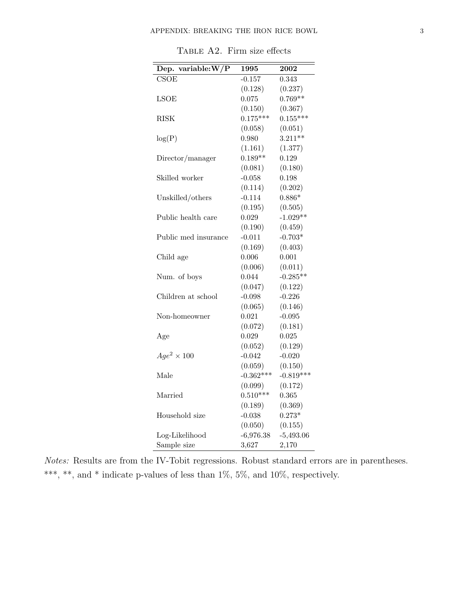| Dep. variable: $W/P$     | 1995        | $\boldsymbol{2002}$ |
|--------------------------|-------------|---------------------|
| $\overline{\text{CSOE}}$ | $-0.157$    | 0.343               |
|                          | (0.128)     | (0.237)             |
| LSOE                     | 0.075       | $0.769**$           |
|                          | (0.150)     | (0.367)             |
| RISK                     | $0.175***$  | $0.155***$          |
|                          | (0.058)     | (0.051)             |
| log(P)                   | 0.980       | $3.211**$           |
|                          | (1.161)     | (1.377)             |
| Director/manager         | $0.189**$   | 0.129               |
|                          | (0.081)     | (0.180)             |
| Skilled worker           | $-0.058$    | 0.198               |
|                          | (0.114)     | (0.202)             |
| Unskilled/others         | $-0.114$    | $0.886*$            |
|                          | (0.195)     | (0.505)             |
| Public health care       | 0.029       | $-1.029**$          |
|                          | (0.190)     | (0.459)             |
| Public med insurance     | $-0.011$    | $-0.703*$           |
|                          | (0.169)     | (0.403)             |
| Child age                | 0.006       | 0.001               |
|                          | (0.006)     | (0.011)             |
| Num. of boys             | 0.044       | $-0.285**$          |
|                          | (0.047)     | (0.122)             |
| Children at school       | $-0.098$    | $-0.226$            |
|                          | (0.065)     | (0.146)             |
| Non-homeowner            | 0.021       | $-0.095$            |
|                          | (0.072)     | (0.181)             |
| Age                      | 0.029       | 0.025               |
|                          | (0.052)     | (0.129)             |
| $Age^2 \times 100$       | $-0.042$    | $-0.020$            |
|                          | (0.059)     | (0.150)             |
| Male                     | $-0.362***$ | $-0.819***$         |
|                          | (0.099)     | (0.172)             |
| Married                  | $0.510***$  | 0.365               |
|                          | (0.189)     | (0.369)             |
| Household size           | $-0.038$    | $0.273*$            |
|                          | (0.050)     | (0.155)             |
| Log-Likelihood           | $-6,976.38$ | $-5,493.06$         |
| Sample size              | 3,627       | 2,170               |

Table A2. Firm size effects

Notes: Results are from the IV-Tobit regressions. Robust standard errors are in parentheses. \*\*\*, \*\*, and \* indicate p-values of less than 1%, 5%, and 10%, respectively.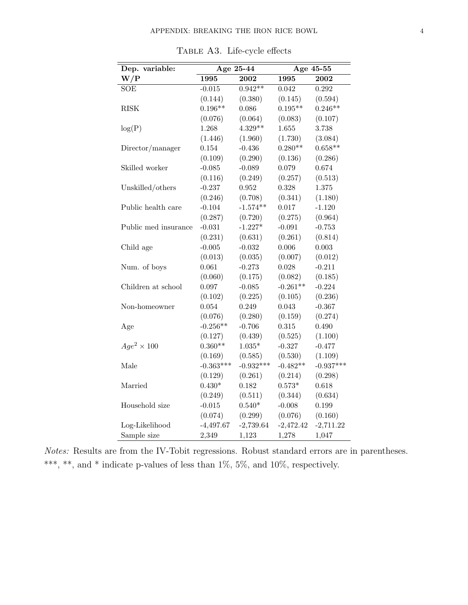| Dep. variable:       | Age 25-44   |             | Age 45-55   |             |  |
|----------------------|-------------|-------------|-------------|-------------|--|
| W/P                  | 1995        | 2002        | 1995        | 2002        |  |
| <b>SOE</b>           | $-0.015$    | $0.942**$   | 0.042       | 0.292       |  |
|                      | (0.144)     | (0.380)     | (0.145)     | (0.594)     |  |
| <b>RISK</b>          | $0.196**$   | 0.086       | $0.195**$   | $0.246**$   |  |
|                      | (0.076)     | (0.064)     | (0.083)     | (0.107)     |  |
| log(P)               | 1.268       | $4.329**$   | 1.655       | 3.738       |  |
|                      | (1.446)     | (1.960)     | (1.730)     | (3.084)     |  |
| Director/manager     | 0.154       | $-0.436$    | $0.280**$   | $0.658**$   |  |
|                      | (0.109)     | (0.290)     | (0.136)     | (0.286)     |  |
| Skilled worker       | $-0.085$    | $-0.089$    | 0.079       | 0.674       |  |
|                      | (0.116)     | (0.249)     | (0.257)     | (0.513)     |  |
| Unskilled/others     | $-0.237$    | 0.952       | 0.328       | 1.375       |  |
|                      | (0.246)     | (0.708)     | (0.341)     | (1.180)     |  |
| Public health care   | $-0.104$    | $-1.574**$  | 0.017       | $-1.120$    |  |
|                      | (0.287)     | (0.720)     | (0.275)     | (0.964)     |  |
| Public med insurance | $-0.031$    | $-1.227*$   | $-0.091$    | $-0.753$    |  |
|                      | (0.231)     | (0.631)     | (0.261)     | (0.814)     |  |
| Child age            | $-0.005$    | $-0.032$    | 0.006       | 0.003       |  |
|                      | (0.013)     | (0.035)     | (0.007)     | (0.012)     |  |
| Num. of boys         | 0.061       | $-0.273$    | 0.028       | $-0.211$    |  |
|                      | (0.060)     | (0.175)     | (0.082)     | (0.185)     |  |
| Children at school   | 0.097       | $-0.085$    | $-0.261**$  | $-0.224$    |  |
|                      | (0.102)     | (0.225)     | (0.105)     | (0.236)     |  |
| Non-homeowner        | 0.054       | 0.249       | 0.043       | $-0.367$    |  |
|                      | (0.076)     | (0.280)     | (0.159)     | (0.274)     |  |
| Age                  | $-0.256**$  | $-0.706$    | 0.315       | 0.490       |  |
|                      | (0.127)     | (0.439)     | (0.525)     | (1.100)     |  |
| $Age^2 \times 100$   | $0.360**$   | $1.035*$    | $-0.327$    | $-0.477$    |  |
|                      | (0.169)     | (0.585)     | (0.530)     | (1.109)     |  |
| Male                 | $-0.363***$ | $-0.932***$ | $-0.482**$  | $-0.937***$ |  |
|                      | (0.129)     | (0.261)     | (0.214)     | (0.298)     |  |
| Married              | $0.430*$    | 0.182       | $0.573*$    | 0.618       |  |
|                      | (0.249)     | (0.511)     | (0.344)     | (0.634)     |  |
| Household size       | $-0.015$    | $0.540*$    | $-0.008$    | 0.199       |  |
|                      | (0.074)     | (0.299)     | (0.076)     | (0.160)     |  |
| Log-Likelihood       | $-4,497.67$ | $-2,739.64$ | $-2,472.42$ | $-2,711.22$ |  |
| Sample size          | 2,349       | 1,123       | 1,278       | 1,047       |  |

Table A3. Life-cycle effects

Notes: Results are from the IV-Tobit regressions. Robust standard errors are in parentheses. \*\*\*, \*\*, and \* indicate p-values of less than  $1\%$ , 5%, and  $10\%$ , respectively.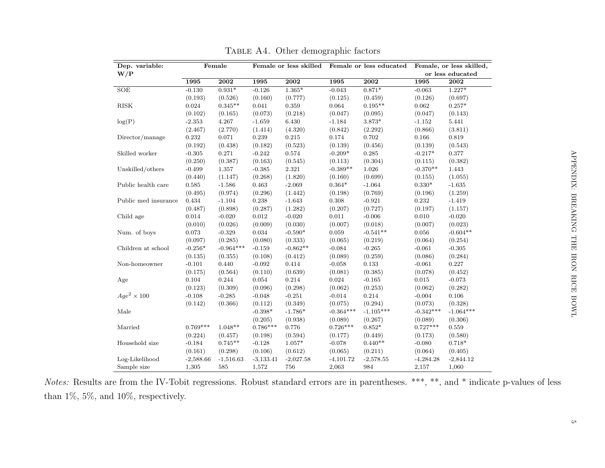| Dep. variable:       |             | Female         | Female or less skilled<br>Female or less educated |             | Female, or less skilled, |                |                  |             |
|----------------------|-------------|----------------|---------------------------------------------------|-------------|--------------------------|----------------|------------------|-------------|
| W/P                  |             |                |                                                   |             |                          |                | or less educated |             |
|                      | 1995        | 2002           | 1995                                              | 2002        | 1995                     | 2002           | 1995             | 2002        |
| $\operatorname{SOE}$ | $-0.130$    | $0.931^{\ast}$ | $-0.126$                                          | $1.365*$    | $-0.043$                 | $0.871*$       | $-0.063$         | $1.227*$    |
|                      | (0.193)     | (0.526)        | (0.160)                                           | (0.777)     | (0.125)                  | (0.459)        | (0.126)          | (0.697)     |
| <b>RISK</b>          | 0.024       | $0.345**$      | 0.041                                             | 0.359       | 0.064                    | $0.195**$      | 0.062            | $0.257*$    |
|                      | (0.102)     | (0.165)        | (0.073)                                           | (0.218)     | (0.047)                  | (0.095)        | (0.047)          | (0.143)     |
| log(P)               | $-2.353$    | 4.267          | $-1.659$                                          | 6.430       | $-1.184$                 | $3.873^{\ast}$ | $-1.152$         | 5.441       |
|                      | (2.467)     | (2.770)        | (1.414)                                           | (4.320)     | (0.842)                  | (2.292)        | (0.866)          | (3.811)     |
| Director/manage      | 0.232       | 0.071          | 0.239                                             | 0.215       | 0.174                    | 0.702          | 0.166            | 0.819       |
|                      | (0.192)     | (0.438)        | (0.182)                                           | (0.523)     | (0.139)                  | (0.456)        | (0.139)          | (0.543)     |
| Skilled worker       | $-0.305$    | 0.271          | $-0.242$                                          | 0.574       | $-0.209*$                | 0.285          | $-0.217*$        | 0.377       |
|                      | (0.250)     | (0.387)        | (0.163)                                           | (0.545)     | (0.113)                  | (0.304)        | (0.115)          | (0.382)     |
| Unskilled/others     | $-0.499$    | 1.357          | $-0.385$                                          | $2.321\,$   | $-0.389**$               | 1.026          | $-0.370**$       | 1.443       |
|                      | (0.440)     | (1.147)        | (0.268)                                           | (1.820)     | (0.160)                  | (0.699)        | (0.155)          | (1.055)     |
| Public health care   | 0.585       | $-1.586$       | 0.463                                             | $-2.069$    | $0.364^{\ast}$           | $-1.064$       | $0.330^{\ast}$   | $-1.635$    |
|                      | (0.495)     | (0.974)        | (0.296)                                           | (1.442)     | (0.198)                  | (0.769)        | (0.196)          | (1.259)     |
| Public med insurance | 0.434       | $-1.104$       | 0.238                                             | $-1.643$    | 0.308                    | $-0.921$       | 0.232            | $-1.419$    |
|                      | (0.487)     | (0.898)        | (0.287)                                           | (1.282)     | (0.207)                  | (0.727)        | (0.197)          | (1.157)     |
| Child age            | 0.014       | $-0.020$       | 0.012                                             | $-0.020$    | 0.011                    | $-0.006$       | 0.010            | $-0.020$    |
|                      | (0.010)     | (0.026)        | (0.009)                                           | (0.030)     | (0.007)                  | (0.018)        | (0.007)          | (0.023)     |
| Num. of boys         | 0.073       | $-0.329$       | 0.034                                             | $-0.590*$   | 0.059                    | $-0.541**$     | 0.056            | $-0.604**$  |
|                      | (0.097)     | (0.285)        | (0.080)                                           | (0.333)     | (0.065)                  | (0.219)        | (0.064)          | (0.254)     |
| Children at school   | $-0.256*$   | $-0.964***$    | $-0.159$                                          | $-0.862**$  | $-0.084$                 | $-0.265$       | $-0.061$         | $-0.305$    |
|                      | (0.135)     | (0.355)        | (0.108)                                           | (0.412)     | (0.089)                  | (0.259)        | (0.086)          | (0.284)     |
| Non-homeowner        | $-0.101$    | 0.440          | $-0.092$                                          | 0.414       | $-0.058$                 | 0.133          | $-0.061$         | 0.227       |
|                      | (0.175)     | (0.564)        | (0.110)                                           | (0.639)     | (0.081)                  | (0.385)        | (0.078)          | (0.452)     |
| Age                  | 0.104       | 0.244          | 0.054                                             | $\rm 0.214$ | 0.024                    | $-0.165$       | 0.015            | $-0.073$    |
|                      | (0.123)     | (0.309)        | (0.096)                                           | (0.298)     | (0.062)                  | (0.253)        | (0.062)          | (0.282)     |
| $Aqe^2 \times 100$   | $-0.108$    | $-0.285$       | $-0.048$                                          | $-0.251$    | $-0.014$                 | 0.214          | $-0.004$         | $0.106\,$   |
|                      | (0.142)     | (0.366)        | (0.112)                                           | (0.349)     | (0.075)                  | (0.294)        | (0.073)          | (0.328)     |
| Male                 |             |                | $-0.398*$                                         | $-1.786*$   | $-0.364***$              | $-1.105***$    | $-0.342***$      | $-1.064***$ |
|                      |             |                | (0.205)                                           | (0.938)     | (0.089)                  | (0.267)        | (0.089)          | (0.306)     |
| Married              | $0.769***$  | $1.048**$      | $0.786***$                                        | 0.776       | $0.726***$               | $0.852*$       | $0.727***$       | 0.559       |
|                      | (0.224)     | (0.457)        | (0.198)                                           | (0.594)     | (0.177)                  | (0.449)        | (0.173)          | (0.580)     |
| Household size       | $-0.184$    | $0.745**$      | $-0.128$                                          | $1.057*$    | $-0.078$                 | $0.440**$      | $-0.080$         | $0.718*$    |
|                      | (0.161)     | (0.298)        | (0.106)                                           | (0.612)     | (0.065)                  | (0.211)        | (0.064)          | (0.405)     |
| Log-Likelihood       | $-2,588.66$ | $-1,516.63$    | $-3,133.41$                                       | $-2,027.58$ | $-4,101.72$              | $-2,578.55$    | $-4,284.28$      | $-2,844.12$ |
| Sample size          | 1,305       | 585            | 1,572                                             | 756         | 2,063                    | 984            | 2,157            | 1,060       |

TABLE A4. Other demographic factors

Notes: Results are from the IV-Tobit regressions. Robust standard errors are in parentheses. \*\*\*, \*\*, and \* indicate p-values of less than 1%, 5%, and 10%, respectively.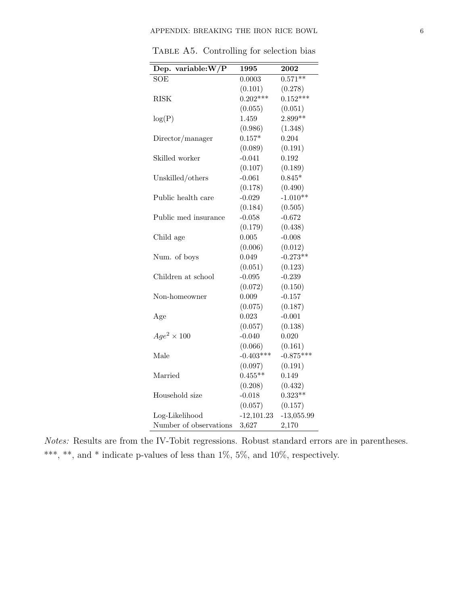| Dep. variable: $W/P$   | 1995         | 2002         |
|------------------------|--------------|--------------|
| <b>SOE</b>             | 0.0003       | $0.571***$   |
|                        | (0.101)      | (0.278)      |
| RISK                   | $0.202***$   | $0.152***$   |
|                        | (0.055)      | (0.051)      |
| log(P)                 | 1.459        | $2.899**$    |
|                        | (0.986)      | (1.348)      |
| Director/manager       | $0.157*$     | 0.204        |
|                        | (0.089)      | (0.191)      |
| Skilled worker         | $-0.041$     | 0.192        |
|                        | (0.107)      | (0.189)      |
| Unskilled/others       | $-0.061$     | $0.845*$     |
|                        | (0.178)      | (0.490)      |
| Public health care     | $-0.029$     | $-1.010**$   |
|                        | (0.184)      | (0.505)      |
| Public med insurance   | $-0.058$     | $-0.672$     |
|                        | (0.179)      | (0.438)      |
| Child age              | 0.005        | $-0.008$     |
|                        | (0.006)      | (0.012)      |
| Num. of boys           | 0.049        | $-0.273**$   |
|                        | (0.051)      | (0.123)      |
| Children at school     | $-0.095$     | $-0.239$     |
|                        | (0.072)      | (0.150)      |
| Non-homeowner          | 0.009        | $-0.157$     |
|                        | (0.075)      | (0.187)      |
| Age                    | 0.023        | $-0.001$     |
|                        | (0.057)      | (0.138)      |
| $Age^2 \times 100$     | $-0.040$     | 0.020        |
|                        | (0.066)      | (0.161)      |
| Male                   | $-0.403***$  | $-0.875***$  |
|                        | (0.097)      | (0.191)      |
| Married                | $0.455**$    | 0.149        |
|                        | (0.208)      | (0.432)      |
| Household size         | $-0.018$     | $0.323**$    |
|                        | (0.057)      | (0.157)      |
| Log-Likelihood         | $-12,101.23$ | $-13,055.99$ |
| Number of observations | 3,627        | 2,170        |

TABLE A5. Controlling for selection bias

Notes: Results are from the IV-Tobit regressions. Robust standard errors are in parentheses. \*\*\*, \*\*, and \* indicate p-values of less than  $1\%$ , 5%, and  $10\%$ , respectively.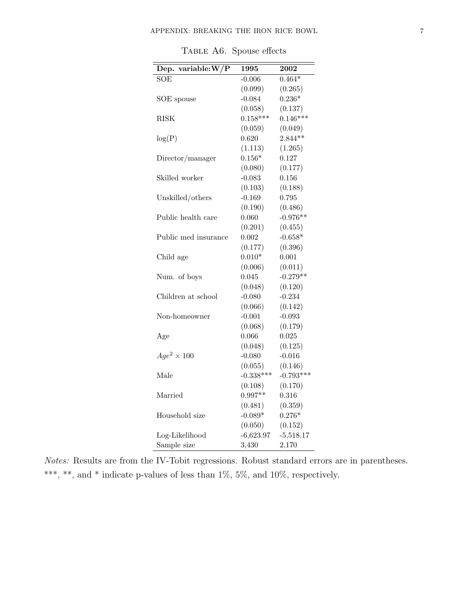| Dep. variable: $W/P$ | 1995        | 2002        |
|----------------------|-------------|-------------|
| SOE                  | $-0.006$    | $0.464*$    |
|                      | (0.099)     | (0.265)     |
| SOE spouse           | $-0.084$    | $0.236*$    |
|                      | (0.058)     | (0.137)     |
| RISK                 | $0.158***$  | $0.146***$  |
|                      | (0.059)     | (0.049)     |
| log(P)               | 0.620       | $2.844**$   |
|                      | (1.113)     | (1.265)     |
| Director/manager     | $0.156*$    | 0.127       |
|                      | (0.080)     | (0.177)     |
| Skilled worker       | $-0.083$    | 0.156       |
|                      | (0.103)     | (0.188)     |
| Unskilled/others     | $-0.169$    | 0.795       |
|                      | (0.190)     | (0.486)     |
| Public health care   | 0.060       | $-0.976**$  |
|                      | (0.201)     | (0.455)     |
| Public med insurance | 0.002       | $-0.658*$   |
|                      | (0.177)     | (0.396)     |
| Child age            | $0.010*$    | 0.001       |
|                      | (0.006)     | (0.011)     |
| Num. of boys         | 0.045       | $-0.279**$  |
|                      | (0.048)     | (0.120)     |
| Children at school   | $-0.080$    | $-0.234$    |
|                      | (0.066)     | (0.142)     |
| Non-homeowner        | $-0.001$    | $-0.093$    |
|                      | (0.068)     | (0.179)     |
| Age                  | 0.066       | 0.025       |
|                      | (0.048)     | (0.125)     |
| $Age^2 \times 100$   | $-0.080$    | $-0.016$    |
|                      | (0.055)     | (0.146)     |
| Male                 | $-0.338***$ | $-0.793***$ |
|                      | (0.108)     | (0.170)     |
| Married              | $0.997**$   | 0.316       |
|                      | (0.481)     | (0.359)     |
| Household size       | $-0.089*$   | $0.276*$    |
|                      | (0.050)     | (0.152)     |
| Log-Likelihood       | $-6,623.97$ | $-5,518.17$ |
| Sample size          | 3,430       | 2,170       |

TABLE A6. Spouse effects

Notes: Results are from the IV-Tobit regressions. Robust standard errors are in parentheses.  $^{***},$   $^{**},$  and  $^{*}$  indicate p-values of less than 1%, 5%, and 10%, respectively.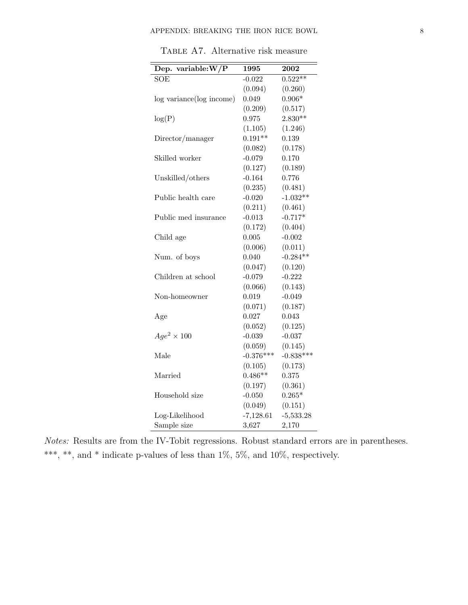| Dep. variable: $W/P$     | 1995        | 2002        |
|--------------------------|-------------|-------------|
| <b>SOE</b>               | $-0.022$    | $0.522***$  |
|                          | (0.094)     | (0.260)     |
| log variance(log income) | 0.049       | $0.906*$    |
|                          | (0.209)     | (0.517)     |
| log(P)                   | 0.975       | $2.830**$   |
|                          | (1.105)     | (1.246)     |
| Director/manager         | $0.191**$   | 0.139       |
|                          | (0.082)     | (0.178)     |
| Skilled worker           | $-0.079$    | 0.170       |
|                          | (0.127)     | (0.189)     |
| Unskilled/others         | $-0.164$    | 0.776       |
|                          | (0.235)     | (0.481)     |
| Public health care       | $-0.020$    | $-1.032**$  |
|                          | (0.211)     | (0.461)     |
| Public med insurance     | $-0.013$    | $-0.717*$   |
|                          | (0.172)     | (0.404)     |
| Child age                | 0.005       | $-0.002$    |
|                          | (0.006)     | (0.011)     |
| Num. of boys             | 0.040       | $-0.284**$  |
|                          | (0.047)     | (0.120)     |
| Children at school       | $-0.079$    | $-0.222$    |
|                          | (0.066)     | (0.143)     |
| Non-homeowner            | 0.019       | $-0.049$    |
|                          | (0.071)     | (0.187)     |
| Age                      | 0.027       | 0.043       |
|                          | (0.052)     | (0.125)     |
| $Age^2 \times 100$       | $-0.039$    | $-0.037$    |
|                          | (0.059)     | (0.145)     |
| Male                     | $-0.376***$ | $-0.838***$ |
|                          | (0.105)     | (0.173)     |
| Married                  | $0.486**$   | 0.375       |
|                          | (0.197)     | (0.361)     |
| Household size           | $-0.050$    | $0.265*$    |
|                          | (0.049)     | (0.151)     |
| Log-Likelihood           | $-7,128.61$ | $-5,533.28$ |
| Sample size              | 3,627       | 2,170       |

TABLE A7. Alternative risk measure

Notes: Results are from the IV-Tobit regressions. Robust standard errors are in parentheses. \*\*\*, \*\*, and \* indicate p-values of less than  $1\%$ , 5%, and  $10\%$ , respectively.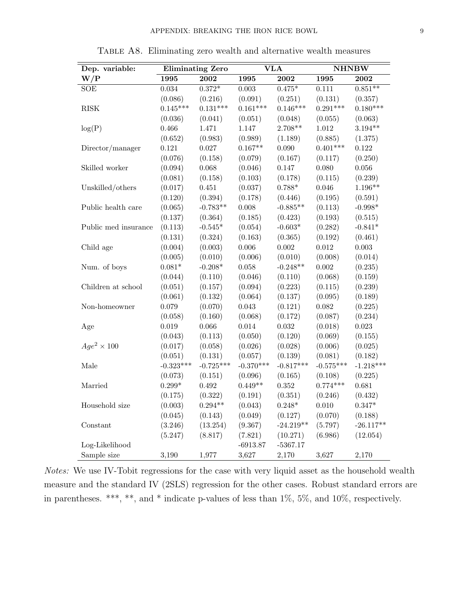| Dep. variable:       | <b>Eliminating Zero</b> |                | <b>VLA</b>  |             | <b>NHNBW</b> |             |
|----------------------|-------------------------|----------------|-------------|-------------|--------------|-------------|
| W/P                  | 1995                    | 2002           | 1995        | 2002        | 1995         | 2002        |
| SOE                  | 0.034                   | $0.372^{\ast}$ | $0.003\,$   | $0.475*$    | 0.111        | $0.851**$   |
|                      | (0.086)                 | (0.216)        | (0.091)     | (0.251)     | (0.131)      | (0.357)     |
| $\rm RISK$           | $0.145***$              | $0.131***$     | $0.161***$  | $0.146***$  | $0.291***$   | $0.180***$  |
|                      | (0.036)                 | (0.041)        | (0.051)     | (0.048)     | (0.055)      | (0.063)     |
| log(P)               | 0.466                   | 1.471          | 1.147       | $2.708**$   | $1.012\,$    | $3.194**$   |
|                      | (0.652)                 | (0.983)        | (0.989)     | (1.189)     | (0.885)      | (1.375)     |
| Director/manager     | 0.121                   | $0.027\,$      | $0.167**$   | 0.090       | $0.401***$   | 0.122       |
|                      | (0.076)                 | (0.158)        | (0.079)     | (0.167)     | (0.117)      | (0.250)     |
| Skilled worker       | (0.094)                 | 0.068          | (0.046)     | 0.147       | 0.080        | $0.056\,$   |
|                      | (0.081)                 | (0.158)        | (0.103)     | (0.178)     | (0.115)      | (0.239)     |
| Unskilled/others     | (0.017)                 | $0.451\,$      | (0.037)     | $0.788*$    | 0.046        | $1.196**$   |
|                      | (0.120)                 | (0.394)        | (0.178)     | (0.446)     | (0.195)      | (0.591)     |
| Public health care   | (0.065)                 | $-0.783**$     | 0.008       | $-0.885**$  | (0.113)      | $-0.998*$   |
|                      | (0.137)                 | (0.364)        | (0.185)     | (0.423)     | (0.193)      | (0.515)     |
| Public med insurance | (0.113)                 | $-0.545*$      | (0.054)     | $-0.603*$   | (0.282)      | $-0.841*$   |
|                      | (0.131)                 | (0.324)        | (0.163)     | (0.365)     | (0.192)      | (0.461)     |
| Child age            | (0.004)                 | (0.003)        | $0.006\,$   | $0.002\,$   | $\,0.012\,$  | 0.003       |
|                      | (0.005)                 | (0.010)        | (0.006)     | (0.010)     | (0.008)      | (0.014)     |
| Num. of boys         | $0.081*$                | $-0.208*$      | 0.058       | $-0.248**$  | 0.002        | (0.235)     |
|                      | (0.044)                 | (0.110)        | (0.046)     | (0.110)     | (0.068)      | (0.159)     |
| Children at school   | (0.051)                 | (0.157)        | (0.094)     | (0.223)     | (0.115)      | (0.239)     |
|                      | (0.061)                 | (0.132)        | (0.064)     | (0.137)     | (0.095)      | (0.189)     |
| Non-homeowner        | 0.079                   | (0.070)        | 0.043       | (0.121)     | 0.082        | (0.225)     |
|                      | (0.058)                 | (0.160)        | (0.068)     | (0.172)     | (0.087)      | (0.234)     |
| Age                  | 0.019                   | 0.066          | 0.014       | $\,0.032\,$ | (0.018)      | 0.023       |
|                      | (0.043)                 | (0.113)        | (0.050)     | (0.120)     | (0.069)      | (0.155)     |
| $Age^2 \times 100$   | (0.017)                 | (0.058)        | (0.026)     | (0.028)     | (0.006)      | (0.025)     |
|                      | (0.051)                 | (0.131)        | (0.057)     | (0.139)     | (0.081)      | (0.182)     |
| Male                 | $-0.323***$             | $-0.725***$    | $-0.370***$ | $-0.817***$ | $-0.575***$  | $-1.218***$ |
|                      | (0.073)                 | (0.151)        | (0.096)     | (0.165)     | (0.108)      | (0.225)     |
| Married              | $0.299*$                | $\,0.492\,$    | $0.449**$   | $\rm 0.352$ | $0.774***$   | 0.681       |
|                      | (0.175)                 | (0.322)        | (0.191)     | (0.351)     | (0.246)      | (0.432)     |
| Household size       | (0.003)                 | $0.294**$      | (0.043)     | $0.248*$    | 0.010        | $0.347*$    |
|                      | (0.045)                 | (0.143)        | (0.049)     | (0.127)     | (0.070)      | (0.188)     |
| Constant             | (3.246)                 | (13.254)       | (9.367)     | $-24.219**$ | (5.797)      | $-26.117**$ |
|                      | (5.247)                 | (8.817)        | (7.821)     | (10.271)    | (6.986)      | (12.054)    |
| Log-Likelihood       |                         |                | $-6913.87$  | $-5367.17$  |              |             |
| Sample size          | 3,190                   | 1,977          | 3,627       | 2,170       | 3,627        | 2,170       |

Table A8. Eliminating zero wealth and alternative wealth measures

Notes: We use IV-Tobit regressions for the case with very liquid asset as the household wealth measure and the standard IV (2SLS) regression for the other cases. Robust standard errors are in parentheses. \*\*\*, \*\*, and \* indicate p-values of less than 1%, 5%, and 10%, respectively.